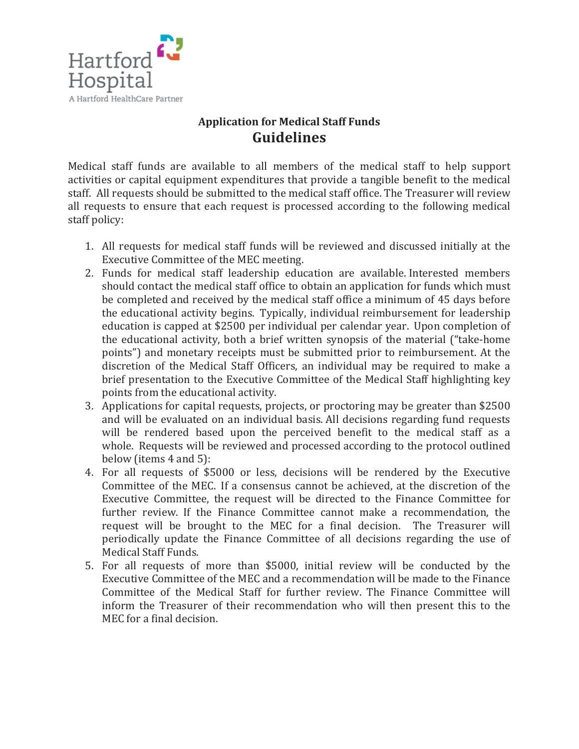

## **Application for Medical Staff Funds Guidelines**

Medical staff funds are available to all members of the medical staff to help support activities or capital equipment expenditures that provide a tangible benefit to the medical staff. All requests should be submitted to the medical staff office. The Treasurer will review all requests to ensure that each request is processed according to the following medical staff policy:

- 1. All requests for medical staff funds will be reviewed and discussed initially at the Executive Committee of the MEC meeting.
- 2. Funds for medical staff leadership education are available. Interested members should contact the medical staff office to obtain an application for funds which must be completed and received by the medical staff office a minimum of 45 days before the educational activity begins. Typically, individual reimbursement for leadership education is capped at \$2500 per individual per calendar year. Upon completion of the educational activity, both a brief written synopsis of the material ("take-home points") and monetary receipts must be submitted prior to reimbursement. At the discretion of the Medical Staff Officers, an individual may be required to make a brief presentation to the Executive Committee of the Medical Staff highlighting key points from the educational activity.
- 3. Applications for capital requests, projects, or proctoring may be greater than \$2500 and will be evaluated on an individual basis. All decisions regarding fund requests will be rendered based upon the perceived benefit to the medical staff as a whole. Requests will be reviewed and processed according to the protocol outlined below (items 4 and 5):
- 4. For all requests of \$5000 or less, decisions will be rendered by the Executive Committee of the MEC. If a consensus cannot be achieved, at the discretion of the Executive Committee, the request will be directed to the Finance Committee for further review. If the Finance Committee cannot make a recommendation, the request will be brought to the MEC for a final decision. The Treasurer will periodically update the Finance Committee of all decisions regarding the use of Medical Staff Funds.
- 5. For all requests of more than \$5000, initial review will be conducted by the Executive Committee of the MEC and a recommendation will be made to the Finance Committee of the Medical Staff for further review. The Finance Committee will inform the Treasurer of their recommendation who will then present this to the MEC for a final decision.